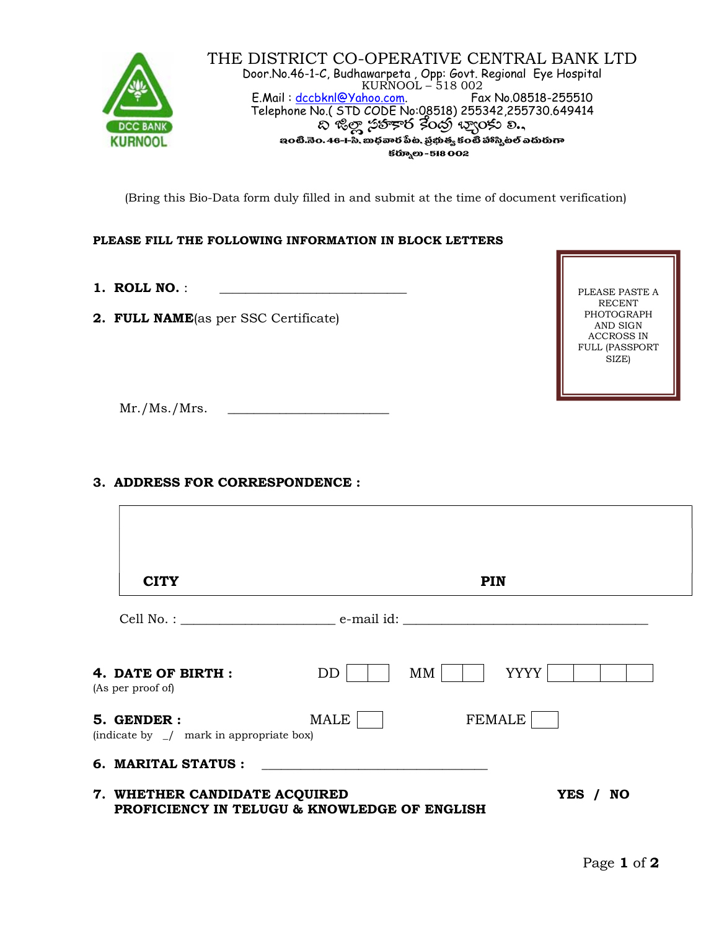

(Bring this Bio-Data form duly filled in and submit at the time of document verification)

# PLEASE FILL THE FOLLOWING INFORMATION IN BLOCK LETTERS

1. ROLL NO.:

2. FULL NAME(as per SSC Certificate)

PLEASE PASTE A RECENT PHOTOGRAPH AND SIGN ACCROSS IN FULL (PASSPORT SIZE)

 $Mr./Ms./Mrs.$ 

# 3. ADDRESS FOR CORRESPONDENCE :

| <b>CITY</b>                                                   | <b>PIN</b>                                               |
|---------------------------------------------------------------|----------------------------------------------------------|
|                                                               |                                                          |
| 4. DATE OF BIRTH :<br>(As per proof of)                       | <b>YYYY</b><br>DD<br>MМ                                  |
| 5. GENDER :<br>(indicate by $\angle$ mark in appropriate box) | FEMALE<br><b>MALE</b>                                    |
| 6. MARITAL STATUS :                                           |                                                          |
| 7. WHETHER CANDIDATE ACQUIRED                                 | YES / NO<br>PROFICIENCY IN TELUGU & KNOWLEDGE OF ENGLISH |